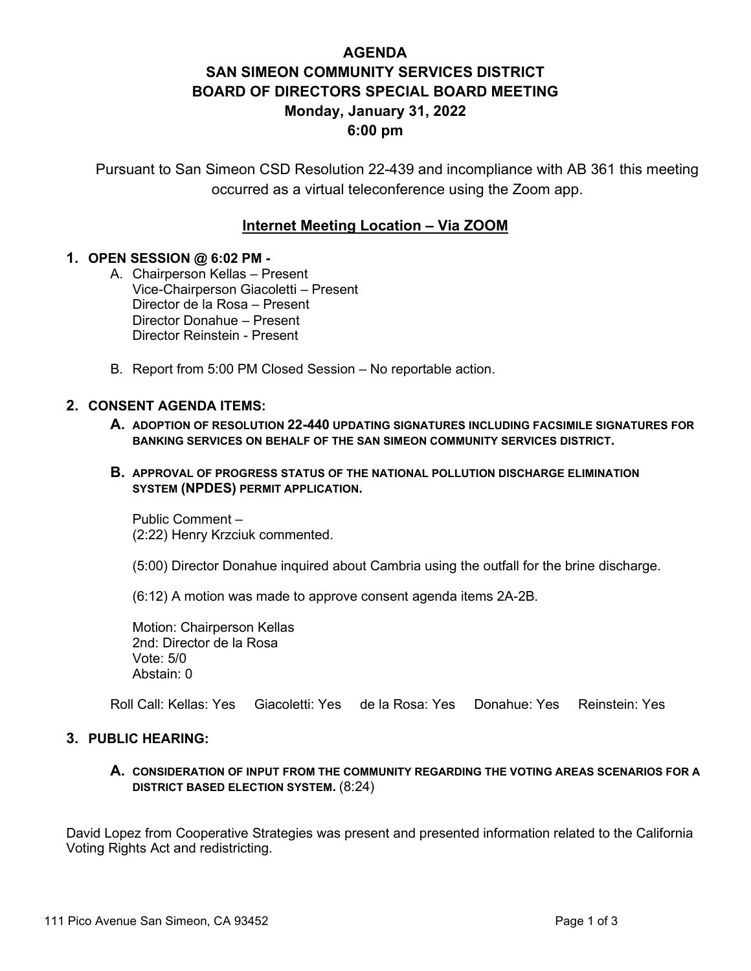# **AGENDA SAN SIMEON COMMUNITY SERVICES DISTRICT BOARD OF DIRECTORS SPECIAL BOARD MEETING Monday, January 31, 2022 6:00 pm**

Pursuant to San Simeon CSD Resolution 22-439 and incompliance with AB 361 this meeting occurred as a virtual teleconference using the Zoom app.

# **Internet Meeting Location – Via ZOOM**

# **1. OPEN SESSION @ 6:02 PM -**

- A. Chairperson Kellas Present Vice-Chairperson Giacoletti – Present Director de la Rosa – Present Director Donahue – Present Director Reinstein - Present
- B. Report from 5:00 PM Closed Session No reportable action.

## **2. CONSENT AGENDA ITEMS:**

- **A. ADOPTION OF RESOLUTION 22-440 UPDATING SIGNATURES INCLUDING FACSIMILE SIGNATURES FOR BANKING SERVICES ON BEHALF OF THE SAN SIMEON COMMUNITY SERVICES DISTRICT.**
- **B. APPROVAL OF PROGRESS STATUS OF THE NATIONAL POLLUTION DISCHARGE ELIMINATION SYSTEM (NPDES) PERMIT APPLICATION.**

Public Comment – (2:22) Henry Krzciuk commented.

(5:00) Director Donahue inquired about Cambria using the outfall for the brine discharge.

(6:12) A motion was made to approve consent agenda items 2A-2B.

Motion: Chairperson Kellas 2nd: Director de la Rosa Vote: 5/0 Abstain: 0

Roll Call: Kellas: Yes Giacoletti: Yes de la Rosa: Yes Donahue: Yes Reinstein: Yes

# **3. PUBLIC HEARING:**

**A. CONSIDERATION OF INPUT FROM THE COMMUNITY REGARDING THE VOTING AREAS SCENARIOS FOR A DISTRICT BASED ELECTION SYSTEM.** (8:24)

David Lopez from Cooperative Strategies was present and presented information related to the California Voting Rights Act and redistricting.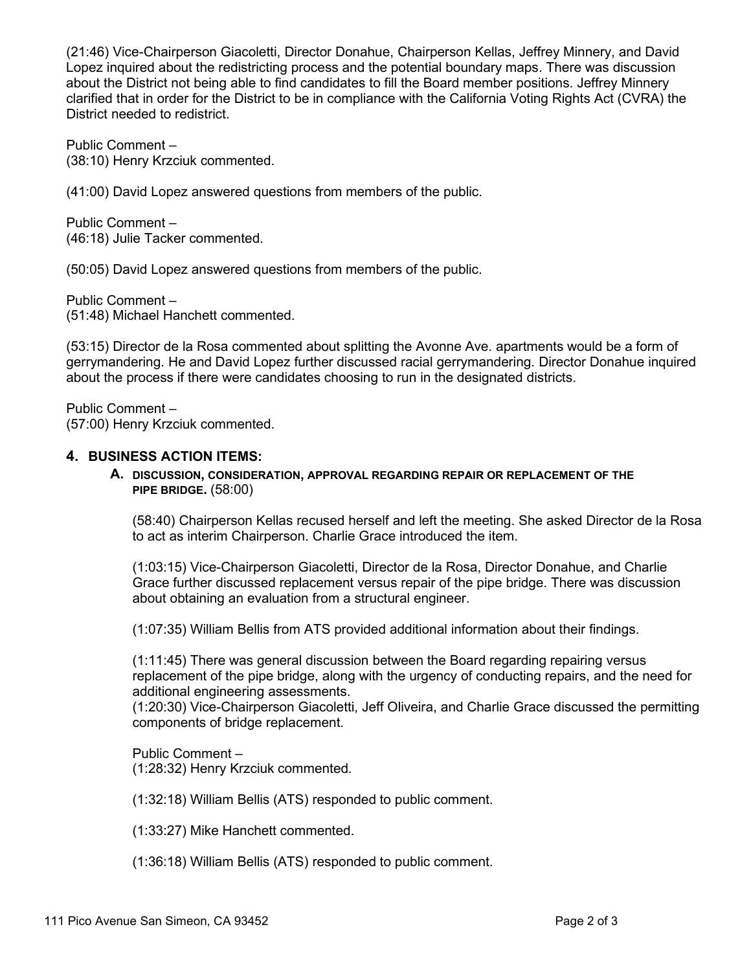(21:46) Vice-Chairperson Giacoletti, Director Donahue, Chairperson Kellas, Jeffrey Minnery, and David Lopez inquired about the redistricting process and the potential boundary maps. There was discussion about the District not being able to find candidates to fill the Board member positions. Jeffrey Minnery clarified that in order for the District to be in compliance with the California Voting Rights Act (CVRA) the District needed to redistrict.

Public Comment – (38:10) Henry Krzciuk commented.

(41:00) David Lopez answered questions from members of the public.

Public Comment – (46:18) Julie Tacker commented.

(50:05) David Lopez answered questions from members of the public.

Public Comment – (51:48) Michael Hanchett commented.

(53:15) Director de la Rosa commented about splitting the Avonne Ave. apartments would be a form of gerrymandering. He and David Lopez further discussed racial gerrymandering. Director Donahue inquired about the process if there were candidates choosing to run in the designated districts.

Public Comment – (57:00) Henry Krzciuk commented.

#### **4. BUSINESS ACTION ITEMS:**

#### **A. DISCUSSION, CONSIDERATION, APPROVAL REGARDING REPAIR OR REPLACEMENT OF THE PIPE BRIDGE.** (58:00)

(58:40) Chairperson Kellas recused herself and left the meeting. She asked Director de la Rosa to act as interim Chairperson. Charlie Grace introduced the item.

(1:03:15) Vice-Chairperson Giacoletti, Director de la Rosa, Director Donahue, and Charlie Grace further discussed replacement versus repair of the pipe bridge. There was discussion about obtaining an evaluation from a structural engineer.

(1:07:35) William Bellis from ATS provided additional information about their findings.

(1:11:45) There was general discussion between the Board regarding repairing versus replacement of the pipe bridge, along with the urgency of conducting repairs, and the need for additional engineering assessments.

(1:20:30) Vice-Chairperson Giacoletti, Jeff Oliveira, and Charlie Grace discussed the permitting components of bridge replacement.

Public Comment – (1:28:32) Henry Krzciuk commented.

(1:32:18) William Bellis (ATS) responded to public comment.

(1:33:27) Mike Hanchett commented.

(1:36:18) William Bellis (ATS) responded to public comment.